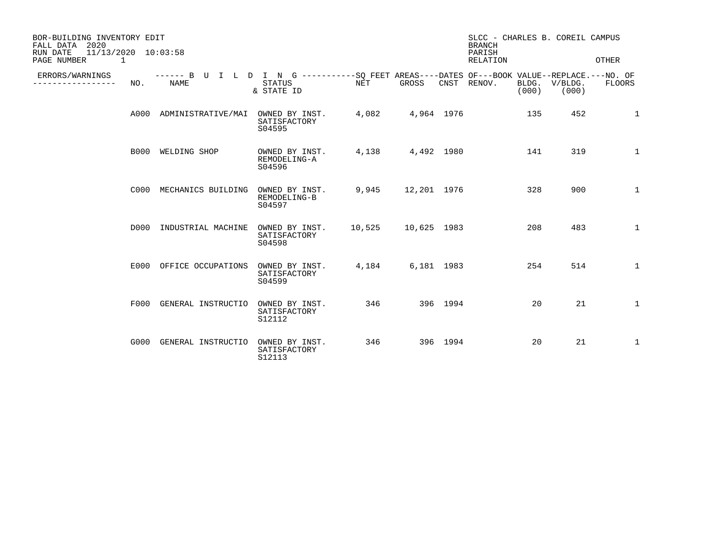| BOR-BUILDING INVENTORY EDIT<br>FALL DATA 2020<br>$11/13/2020$ $10:03:58$<br>RUN DATE<br>PAGE NUMBER<br>$\overline{1}$ |                                                                                                            |                                          |        |                   |          | SLCC - CHARLES B. COREIL CAMPUS<br><b>BRANCH</b><br>PARISH<br><b>RELATION</b> |                        | OTHER        |
|-----------------------------------------------------------------------------------------------------------------------|------------------------------------------------------------------------------------------------------------|------------------------------------------|--------|-------------------|----------|-------------------------------------------------------------------------------|------------------------|--------------|
| ERRORS/WARNINGS<br>NO.<br>--------                                                                                    | ------ B U I L D I N G -----------SQ FEET AREAS----DATES OF---BOOK VALUE--REPLACE.---NO. OF<br><b>NAME</b> | <b>STATUS</b><br>& STATE ID              | NET    | GROSS             |          | CNST RENOV.<br>(000)                                                          | BLDG. V/BLDG.<br>(000) | FLOORS       |
|                                                                                                                       | A000 ADMINISTRATIVE/MAI OWNED BY INST.                                                                     | SATISFACTORY<br>S04595                   | 4,082  | 4,964 1976        |          | 135                                                                           | 452                    | 1            |
|                                                                                                                       | B000 WELDING SHOP                                                                                          | OWNED BY INST.<br>REMODELING-A<br>S04596 |        | 4,138 4,492 1980  |          | 141                                                                           | 319                    | 1            |
|                                                                                                                       | C000 MECHANICS BUILDING                                                                                    | OWNED BY INST.<br>REMODELING-B<br>S04597 |        | 9,945 12,201 1976 |          | 328                                                                           | 900                    | $\mathbf{1}$ |
|                                                                                                                       | D000 INDUSTRIAL MACHINE                                                                                    | OWNED BY INST.<br>SATISFACTORY<br>S04598 | 10,525 | 10,625 1983       |          | 208                                                                           | 483                    | $\mathbf{1}$ |
|                                                                                                                       | E000 OFFICE OCCUPATIONS                                                                                    | OWNED BY INST.<br>SATISFACTORY<br>S04599 | 4,184  | 6,181 1983        |          | 254                                                                           | 514                    | $\mathbf{1}$ |
|                                                                                                                       | F000 GENERAL INSTRUCTIO                                                                                    | OWNED BY INST.<br>SATISFACTORY<br>S12112 | 346    | 396 1994          |          | 20                                                                            | 21                     | 1            |
|                                                                                                                       | G000 GENERAL INSTRUCTIO                                                                                    | OWNED BY INST.<br>SATISFACTORY<br>S12113 | 346    |                   | 396 1994 | 20                                                                            | 21                     | $\mathbf{1}$ |